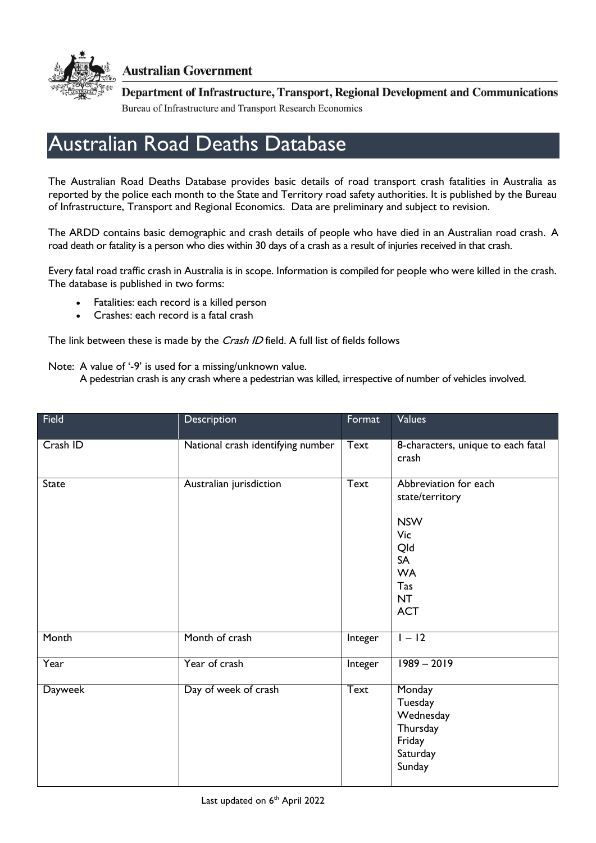

**Australian Government** 

Department of Infrastructure, Transport, Regional Development and Communications Bureau of Infrastructure and Transport Research Economics

## Australian Road Deaths Database

The Australian Road Deaths Database provides basic details of road transport crash fatalities in Australia as reported by the police each month to the State and Territory road safety authorities. It is published by the Bureau of Infrastructure, Transport and Regional Economics. Data are preliminary and subject to revision.

The ARDD contains basic demographic and crash details of people who have died in an Australian road crash. A road death or fatality is a person who dies within 30 days of a crash as a result of injuries received in that crash.

Every fatal road traffic crash in Australia is in scope. Information is compiled for people who were killed in the crash. The database is published in two forms:

- Fatalities: each record is a killed person
- Crashes: each record is a fatal crash

The link between these is made by the Crash ID field. A full list of fields follows

Note: A value of '-9' is used for a missing/unknown value.

A pedestrian crash is any crash where a pedestrian was killed, irrespective of number of vehicles involved.

| Field        | Description                       | Format      | Values                                                                                                                    |
|--------------|-----------------------------------|-------------|---------------------------------------------------------------------------------------------------------------------------|
| Crash ID     | National crash identifying number | Text        | 8-characters, unique to each fatal<br>crash                                                                               |
| <b>State</b> | Australian jurisdiction           | <b>Text</b> | Abbreviation for each<br>state/territory<br><b>NSW</b><br>Vic<br>Qld<br>SA<br><b>WA</b><br>Tas<br><b>NT</b><br><b>ACT</b> |
| Month        | Month of crash                    | Integer     | $1 - 12$                                                                                                                  |
| Year         | Year of crash                     | Integer     | $1989 - 2019$                                                                                                             |
| Dayweek      | Day of week of crash              | <b>Text</b> | Monday<br>Tuesday<br>Wednesday<br>Thursday<br>Friday<br>Saturday<br>Sunday                                                |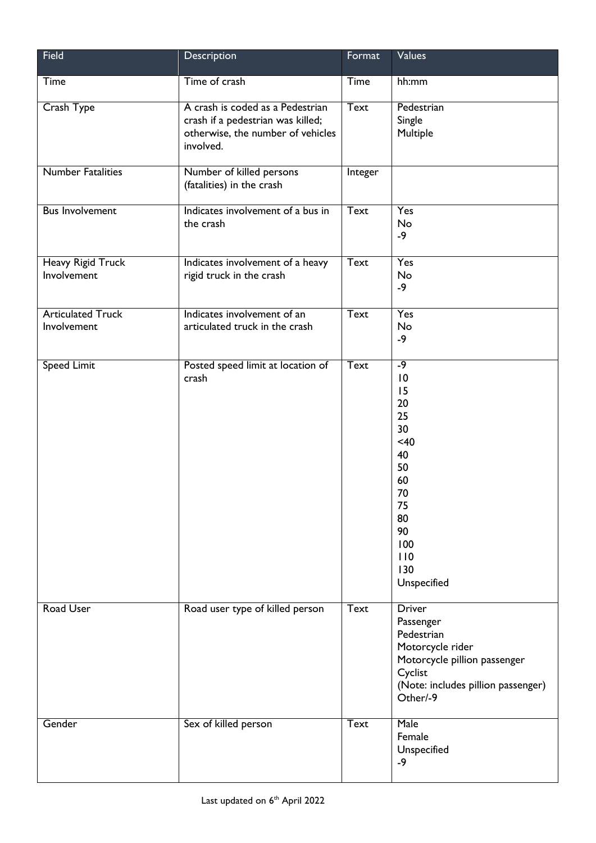| Field                                   | Description                                                                                                             | Format      | Values                                                                                                                                                    |
|-----------------------------------------|-------------------------------------------------------------------------------------------------------------------------|-------------|-----------------------------------------------------------------------------------------------------------------------------------------------------------|
| Time                                    | Time of crash                                                                                                           | Time        | hh:mm                                                                                                                                                     |
| Crash Type                              | A crash is coded as a Pedestrian<br>crash if a pedestrian was killed;<br>otherwise, the number of vehicles<br>involved. | <b>Text</b> | Pedestrian<br>Single<br>Multiple                                                                                                                          |
| <b>Number Fatalities</b>                | Number of killed persons<br>(fatalities) in the crash                                                                   | Integer     |                                                                                                                                                           |
| <b>Bus Involvement</b>                  | Indicates involvement of a bus in<br>the crash                                                                          | <b>Text</b> | Yes<br>No<br>$-9$                                                                                                                                         |
| <b>Heavy Rigid Truck</b><br>Involvement | Indicates involvement of a heavy<br>rigid truck in the crash                                                            | <b>Text</b> | Yes<br>No<br>$-9$                                                                                                                                         |
| <b>Articulated Truck</b><br>Involvement | Indicates involvement of an<br>articulated truck in the crash                                                           | <b>Text</b> | Yes<br>No<br>$-9$                                                                                                                                         |
| <b>Speed Limit</b>                      | Posted speed limit at location of<br>crash                                                                              | <b>Text</b> | $-9$<br>10<br>15<br>20<br>25<br>30<br><40<br>40<br>50<br>60<br>70<br>75<br>80<br>90<br>100<br>110<br>130<br>Unspecified                                   |
| Road User                               | Road user type of killed person                                                                                         | <b>Text</b> | <b>Driver</b><br>Passenger<br>Pedestrian<br>Motorcycle rider<br>Motorcycle pillion passenger<br>Cyclist<br>(Note: includes pillion passenger)<br>Other/-9 |
| Gender                                  | Sex of killed person                                                                                                    | <b>Text</b> | Male<br>Female<br>Unspecified<br>-9                                                                                                                       |